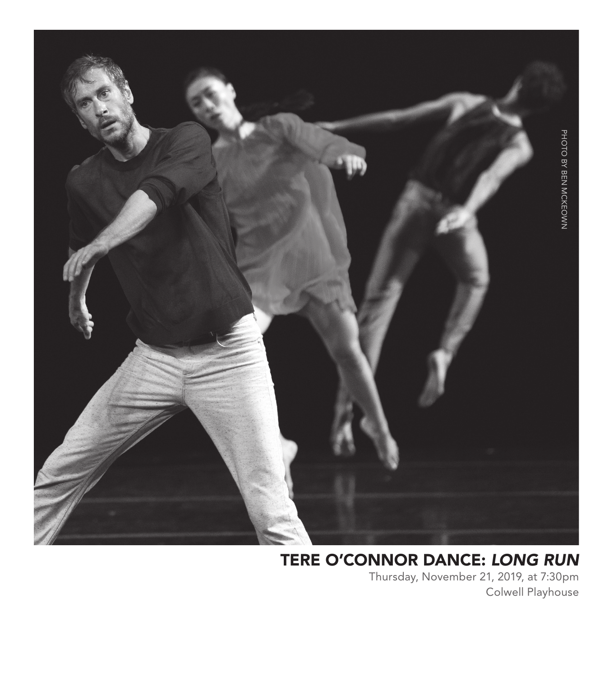

### TERE O'CONNOR DANCE: *LONG RUN*

Thursday, November 21, 2019, at 7:30pm Colwell Playhouse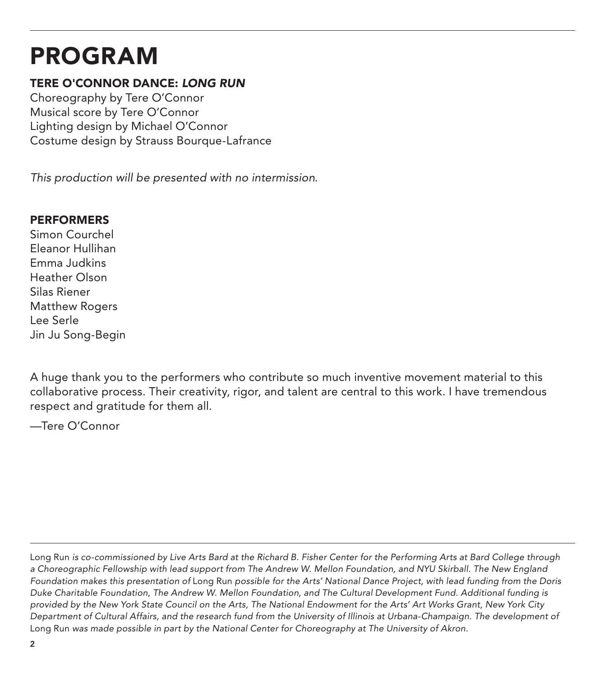# PROGRAM

#### TERE O'CONNOR DANCE: *LONG RUN*

Choreography by Tere O'Connor Musical score by Tere O'Connor Lighting design by Michael O'Connor Costume design by Strauss Bourque-Lafrance

*This production will be presented with no intermission*.

#### **PERFORMERS**

Simon Courchel Eleanor Hullihan Emma Judkins Heather Olson Silas Riener Matthew Rogers Lee Serle Jin Ju Song-Begin

A huge thank you to the performers who contribute so much inventive movement material to this collaborative process. Their creativity, rigor, and talent are central to this work. I have tremendous respect and gratitude for them all.

—Tere O'Connor

Long Run *is co-commissioned by Live Arts Bard at the Richard B. Fisher Center for the Performing Arts at Bard College through a Choreographic Fellowship with lead support from The Andrew W. Mellon Foundation, and NYU Skirball. The New England Foundation makes this presentation of* Long Run *possible for the Arts' National Dance Project, with lead funding from the Doris Duke Charitable Foundation, The Andrew W. Mellon Foundation, and The Cultural Development Fund. Additional funding is provided by the New York State Council on the Arts, The National Endowment for the Arts' Art Works Grant, New York City Department of Cultural Affairs, and the research fund from the University of Illinois at Urbana-Champaign. The development of*  Long Run *was made possible in part by the National Center for Choreography at The University of Akron.*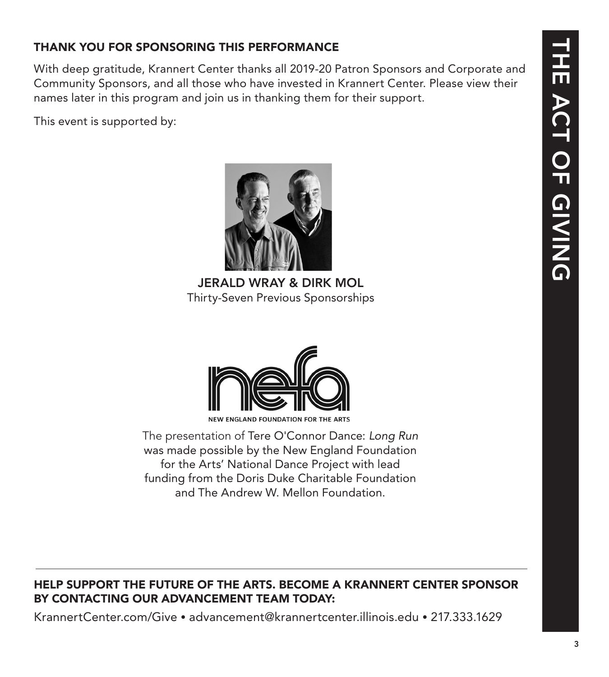### THANK YOU FOR SPONSORING THIS PERFORMANCE

With deep gratitude, Krannert Center thanks all 2019-20 Patron Sponsors and Corporate and Community Sponsors, and all those who have invested in Krannert Center. Please view their names later in this program and join us in thanking them for their support.

This event is supported by:



JERALD WRAY & DIRK MOL Thirty-Seven Previous Sponsorships



The presentation of Tere O'Connor Dance: *Long Run* was made possible by the New England Foundation for the Arts' National Dance Project with lead funding from the Doris Duke Charitable Foundation and The Andrew W. Mellon Foundation.

### HELP SUPPORT THE FUTURE OF THE ARTS. BECOME A KRANNERT CENTER SPONSOR BY CONTACTING OUR ADVANCEMENT TEAM TODAY:

KrannertCenter.com/Give • advancement@krannertcenter.illinois.edu • 217.333.1629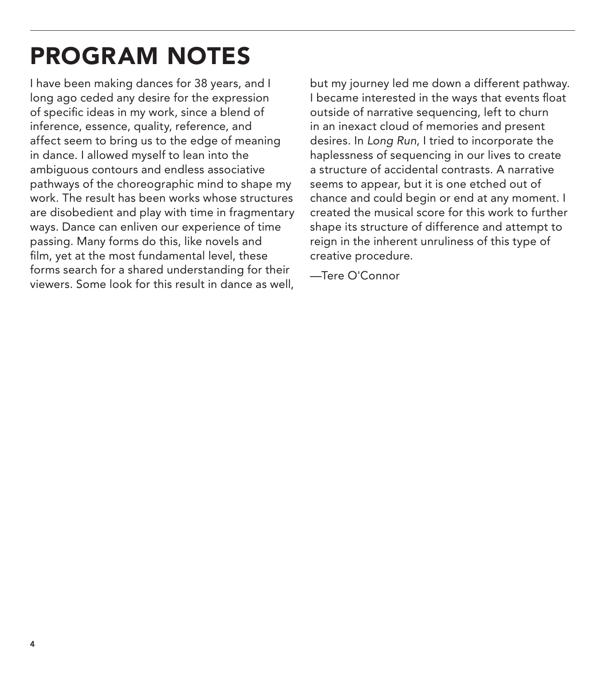# PROGRAM NOTES

I have been making dances for 38 years, and I long ago ceded any desire for the expression of specific ideas in my work, since a blend of inference, essence, quality, reference, and affect seem to bring us to the edge of meaning in dance. I allowed myself to lean into the ambiguous contours and endless associative pathways of the choreographic mind to shape my work. The result has been works whose structures are disobedient and play with time in fragmentary ways. Dance can enliven our experience of time passing. Many forms do this, like novels and film, yet at the most fundamental level, these forms search for a shared understanding for their viewers. Some look for this result in dance as well,

but my journey led me down a different pathway. I became interested in the ways that events float outside of narrative sequencing, left to churn in an inexact cloud of memories and present desires. In *Long Run*, I tried to incorporate the haplessness of sequencing in our lives to create a structure of accidental contrasts. A narrative seems to appear, but it is one etched out of chance and could begin or end at any moment. I created the musical score for this work to further shape its structure of difference and attempt to reign in the inherent unruliness of this type of creative procedure.

—Tere O'Connor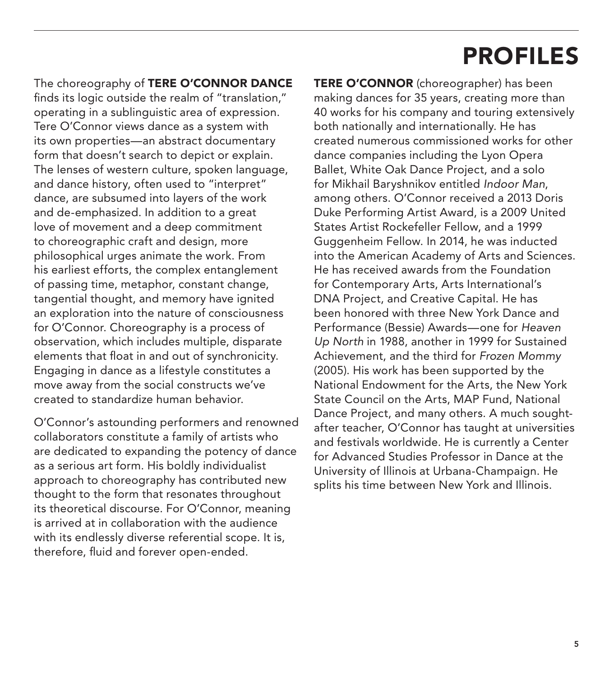## PROFILES

The choreography of TERE O'CONNOR DANCE finds its logic outside the realm of "translation," operating in a sublinguistic area of expression. Tere O'Connor views dance as a system with its own properties—an abstract documentary form that doesn't search to depict or explain. The lenses of western culture, spoken language, and dance history, often used to "interpret" dance, are subsumed into layers of the work and de-emphasized. In addition to a great love of movement and a deep commitment to choreographic craft and design, more philosophical urges animate the work. From his earliest efforts, the complex entanglement of passing time, metaphor, constant change, tangential thought, and memory have ignited an exploration into the nature of consciousness for O'Connor. Choreography is a process of observation, which includes multiple, disparate elements that float in and out of synchronicity. Engaging in dance as a lifestyle constitutes a move away from the social constructs we've created to standardize human behavior.

O'Connor's astounding performers and renowned collaborators constitute a family of artists who are dedicated to expanding the potency of dance as a serious art form. His boldly individualist approach to choreography has contributed new thought to the form that resonates throughout its theoretical discourse. For O'Connor, meaning is arrived at in collaboration with the audience with its endlessly diverse referential scope. It is, therefore, fluid and forever open-ended.

TERE O'CONNOR (choreographer) has been making dances for 35 years, creating more than 40 works for his company and touring extensively both nationally and internationally. He has created numerous commissioned works for other dance companies including the Lyon Opera Ballet, White Oak Dance Project, and a solo for Mikhail Baryshnikov entitled *Indoor Man*, among others. O'Connor received a 2013 Doris Duke Performing Artist Award, is a 2009 United States Artist Rockefeller Fellow, and a 1999 Guggenheim Fellow. In 2014, he was inducted into the American Academy of Arts and Sciences. He has received awards from the Foundation for Contemporary Arts, Arts International's DNA Project, and Creative Capital. He has been honored with three New York Dance and Performance (Bessie) Awards—one for *Heaven Up North* in 1988, another in 1999 for Sustained Achievement, and the third for *Frozen Mommy* (2005). His work has been supported by the National Endowment for the Arts, the New York State Council on the Arts, MAP Fund, National Dance Project, and many others. A much soughtafter teacher, O'Connor has taught at universities and festivals worldwide. He is currently a Center for Advanced Studies Professor in Dance at the University of Illinois at Urbana-Champaign. He splits his time between New York and Illinois.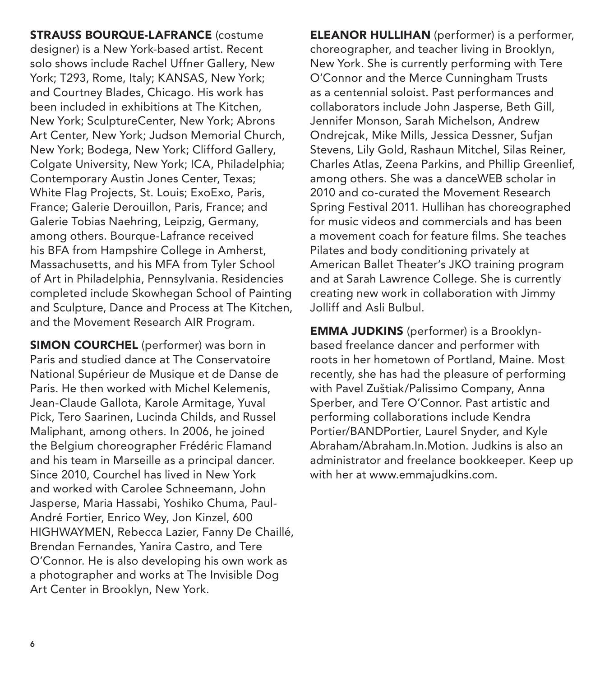STRAUSS BOURQUE-LAFRANCE (costume designer) is a New York-based artist. Recent solo shows include Rachel Uffner Gallery, New York; T293, Rome, Italy; KANSAS, New York; and Courtney Blades, Chicago. His work has been included in exhibitions at The Kitchen, New York; SculptureCenter, New York; Abrons Art Center, New York; Judson Memorial Church, New York; Bodega, New York; Clifford Gallery, Colgate University, New York; ICA, Philadelphia; Contemporary Austin Jones Center, Texas; White Flag Projects, St. Louis; ExoExo, Paris, France; Galerie Derouillon, Paris, France; and Galerie Tobias Naehring, Leipzig, Germany, among others. Bourque-Lafrance received his BFA from Hampshire College in Amherst, Massachusetts, and his MFA from Tyler School of Art in Philadelphia, Pennsylvania. Residencies completed include Skowhegan School of Painting and Sculpture, Dance and Process at The Kitchen, and the Movement Research AIR Program.

SIMON COURCHEL (performer) was born in Paris and studied dance at The Conservatoire National Supérieur de Musique et de Danse de Paris. He then worked with Michel Kelemenis, Jean-Claude Gallota, Karole Armitage, Yuval Pick, Tero Saarinen, Lucinda Childs, and Russel Maliphant, among others. In 2006, he joined the Belgium choreographer Frédéric Flamand and his team in Marseille as a principal dancer. Since 2010, Courchel has lived in New York and worked with Carolee Schneemann, John Jasperse, Maria Hassabi, Yoshiko Chuma, Paul-André Fortier, Enrico Wey, Jon Kinzel, 600 HIGHWAYMEN, Rebecca Lazier, Fanny De Chaillé, Brendan Fernandes, Yanira Castro, and Tere O'Connor. He is also developing his own work as a photographer and works at The Invisible Dog Art Center in Brooklyn, New York.

ELEANOR HULLIHAN (performer) is a performer, choreographer, and teacher living in Brooklyn, New York. She is currently performing with Tere O'Connor and the Merce Cunningham Trusts as a centennial soloist. Past performances and collaborators include John Jasperse, Beth Gill, Jennifer Monson, Sarah Michelson, Andrew Ondrejcak, Mike Mills, Jessica Dessner, Sufjan Stevens, Lily Gold, Rashaun Mitchel, Silas Reiner, Charles Atlas, Zeena Parkins, and Phillip Greenlief, among others. She was a danceWEB scholar in 2010 and co-curated the Movement Research Spring Festival 2011. Hullihan has choreographed for music videos and commercials and has been a movement coach for feature films. She teaches Pilates and body conditioning privately at American Ballet Theater's JKO training program and at Sarah Lawrence College. She is currently creating new work in collaboration with Jimmy Jolliff and Asli Bulbul.

EMMA JUDKINS (performer) is a Brooklynbased freelance dancer and performer with roots in her hometown of Portland, Maine. Most recently, she has had the pleasure of performing with Pavel Zuštiak/Palissimo Company, Anna Sperber, and Tere O'Connor. Past artistic and performing collaborations include Kendra Portier/BANDPortier, Laurel Snyder, and Kyle Abraham/Abraham.In.Motion. Judkins is also an administrator and freelance bookkeeper. Keep up with her at www.emmajudkins.com.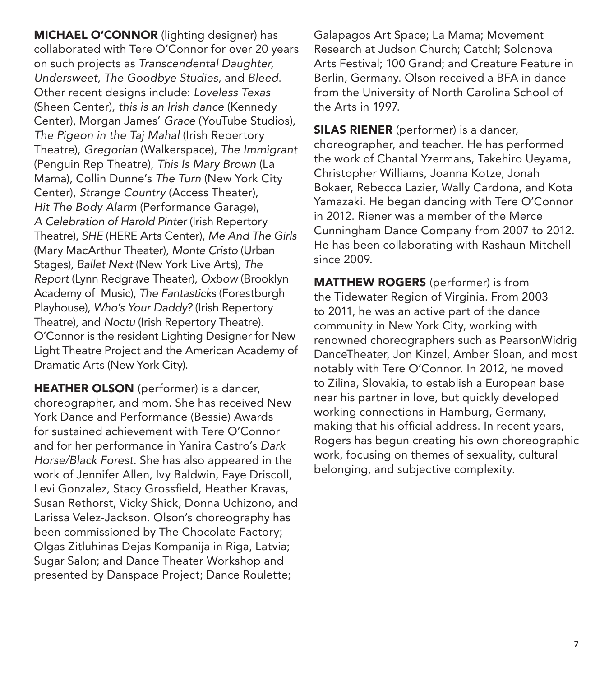MICHAEL O'CONNOR (lighting designer) has collaborated with Tere O'Connor for over 20 years on such projects as *Transcendental Daughter*, *Undersweet*, *The Goodbye Studies*, and *Bleed*. Other recent designs include: *Loveless Texas* (Sheen Center), *this is an Irish dance* (Kennedy Center), Morgan James' *Grace* (YouTube Studios), *The Pigeon in the Taj Mahal* (Irish Repertory Theatre), *Gregorian* (Walkerspace), *The Immigrant* (Penguin Rep Theatre), *This Is Mary Brown* (La Mama), Collin Dunne's *The Turn* (New York City Center), *Strange Country* (Access Theater), *Hit The Body Alarm* (Performance Garage), *A Celebration of Harold Pinter* (Irish Repertory Theatre), *SHE* (HERE Arts Center), *Me And The Girls*  (Mary MacArthur Theater), *Monte Cristo* (Urban Stages), *Ballet Next* (New York Live Arts), *The Report* (Lynn Redgrave Theater), *Oxbow* (Brooklyn Academy of Music), *The Fantasticks* (Forestburgh Playhouse), *Who's Your Daddy?* (Irish Repertory Theatre), and *Noctu* (Irish Repertory Theatre). O'Connor is the resident Lighting Designer for New Light Theatre Project and the American Academy of Dramatic Arts (New York City).

HEATHER OLSON (performer) is a dancer, choreographer, and mom. She has received New York Dance and Performance (Bessie) Awards for sustained achievement with Tere O'Connor and for her performance in Yanira Castro's *Dark Horse/Black Forest*. She has also appeared in the work of Jennifer Allen, Ivy Baldwin, Faye Driscoll, Levi Gonzalez, Stacy Grossfield, Heather Kravas, Susan Rethorst, Vicky Shick, Donna Uchizono, and Larissa Velez-Jackson. Olson's choreography has been commissioned by The Chocolate Factory; Olgas Zitluhinas Dejas Kompanija in Riga, Latvia; Sugar Salon; and Dance Theater Workshop and presented by Danspace Project; Dance Roulette;

Galapagos Art Space; La Mama; Movement Research at Judson Church; Catch!; Solonova Arts Festival; 100 Grand; and Creature Feature in Berlin, Germany. Olson received a BFA in dance from the University of North Carolina School of the Arts in 1997.

SILAS RIENER (performer) is a dancer, choreographer, and teacher. He has performed the work of Chantal Yzermans, Takehiro Ueyama, Christopher Williams, Joanna Kotze, Jonah Bokaer, Rebecca Lazier, Wally Cardona, and Kota Yamazaki. He began dancing with Tere O'Connor in 2012. Riener was a member of the Merce Cunningham Dance Company from 2007 to 2012. He has been collaborating with Rashaun Mitchell since 2009.

MATTHEW ROGERS (performer) is from the Tidewater Region of Virginia. From 2003 to 2011, he was an active part of the dance community in New York City, working with renowned choreographers such as PearsonWidrig DanceTheater, Jon Kinzel, Amber Sloan, and most notably with Tere O'Connor. In 2012, he moved to Zilina, Slovakia, to establish a European base near his partner in love, but quickly developed working connections in Hamburg, Germany, making that his official address. In recent years, Rogers has begun creating his own choreographic work, focusing on themes of sexuality, cultural belonging, and subjective complexity.